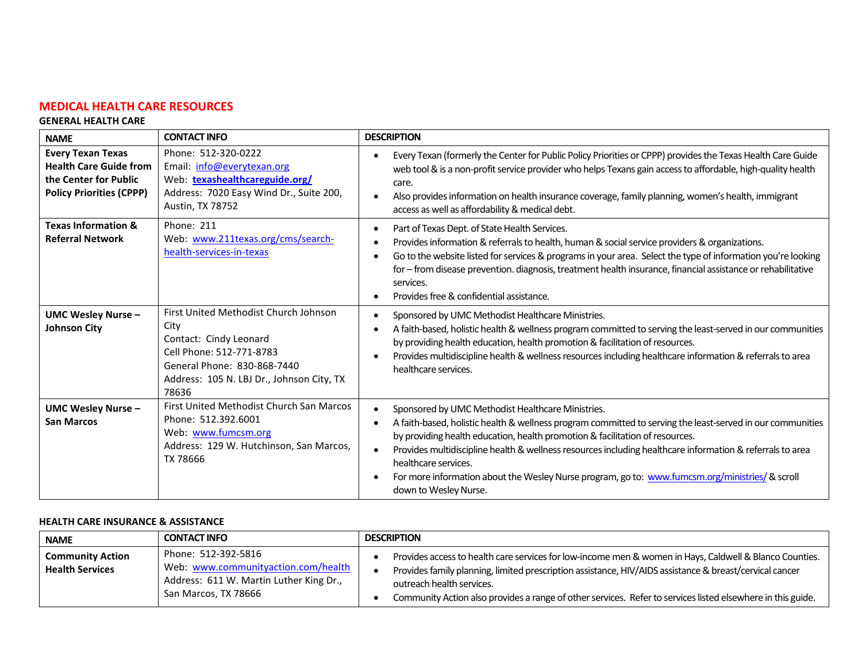# **MEDICAL HEALTH CARE RESOURCES**

#### **GENERAL HEALTH CARE**

| <b>NAME</b>                                                                                                           | <b>CONTACT INFO</b>                                                                                                                                                                      | <b>DESCRIPTION</b>                                                                                                                                                                                                                                                                                                                                                                                                                                                                                               |
|-----------------------------------------------------------------------------------------------------------------------|------------------------------------------------------------------------------------------------------------------------------------------------------------------------------------------|------------------------------------------------------------------------------------------------------------------------------------------------------------------------------------------------------------------------------------------------------------------------------------------------------------------------------------------------------------------------------------------------------------------------------------------------------------------------------------------------------------------|
| <b>Every Texan Texas</b><br><b>Health Care Guide from</b><br>the Center for Public<br><b>Policy Priorities (CPPP)</b> | Phone: 512-320-0222<br>Email: info@everytexan.org<br>Web: texashealthcareguide.org/<br>Address: 7020 Easy Wind Dr., Suite 200,<br>Austin, TX 78752                                       | Every Texan (formerly the Center for Public Policy Priorities or CPPP) provides the Texas Health Care Guide<br>web tool & is a non-profit service provider who helps Texans gain access to affordable, high-quality health<br>care.<br>Also provides information on health insurance coverage, family planning, women's health, immigrant<br>access as well as affordability & medical debt.                                                                                                                     |
| <b>Texas Information &amp;</b><br><b>Referral Network</b>                                                             | Phone: 211<br>Web: www.211texas.org/cms/search-<br>health-services-in-texas                                                                                                              | Part of Texas Dept. of State Health Services.<br>Provides information & referrals to health, human & social service providers & organizations.<br>Go to the website listed for services & programs in your area. Select the type of information you're looking<br>for - from disease prevention. diagnosis, treatment health insurance, financial assistance or rehabilitative<br>services.<br>Provides free & confidential assistance.                                                                          |
| <b>UMC Wesley Nurse -</b><br><b>Johnson City</b>                                                                      | First United Methodist Church Johnson<br>City<br>Contact: Cindy Leonard<br>Cell Phone: 512-771-8783<br>General Phone: 830-868-7440<br>Address: 105 N. LBJ Dr., Johnson City, TX<br>78636 | Sponsored by UMC Methodist Healthcare Ministries.<br>A faith-based, holistic health & wellness program committed to serving the least-served in our communities<br>by providing health education, health promotion & facilitation of resources.<br>Provides multidiscipline health & wellness resources including healthcare information & referrals to area<br>healthcare services.                                                                                                                             |
| <b>UMC Wesley Nurse -</b><br><b>San Marcos</b>                                                                        | First United Methodist Church San Marcos<br>Phone: 512.392.6001<br>Web: www.fumcsm.org<br>Address: 129 W. Hutchinson, San Marcos,<br>TX 78666                                            | Sponsored by UMC Methodist Healthcare Ministries.<br>A faith-based, holistic health & wellness program committed to serving the least-served in our communities<br>by providing health education, health promotion & facilitation of resources.<br>Provides multidiscipline health & wellness resources including healthcare information & referrals to area<br>healthcare services.<br>For more information about the Wesley Nurse program, go to: www.fumcsm.org/ministries/ & scroll<br>down to Wesley Nurse. |

### **HEALTH CARE INSURANCE & ASSISTANCE**

| <b>NAME</b>                                       | <b>CONTACT INFO</b>                                                                                                           | <b>DESCRIPTION</b>                                                                                                                                                                                                                              |
|---------------------------------------------------|-------------------------------------------------------------------------------------------------------------------------------|-------------------------------------------------------------------------------------------------------------------------------------------------------------------------------------------------------------------------------------------------|
| <b>Community Action</b><br><b>Health Services</b> | Phone: 512-392-5816<br>Web: www.communityaction.com/health<br>Address: 611 W. Martin Luther King Dr.,<br>San Marcos, TX 78666 | Provides access to health care services for low-income men & women in Hays, Caldwell & Blanco Counties.<br>Provides family planning, limited prescription assistance, HIV/AIDS assistance & breast/cervical cancer<br>outreach health services. |
|                                                   |                                                                                                                               | Community Action also provides a range of other services. Refer to services listed elsewhere in this guide.                                                                                                                                     |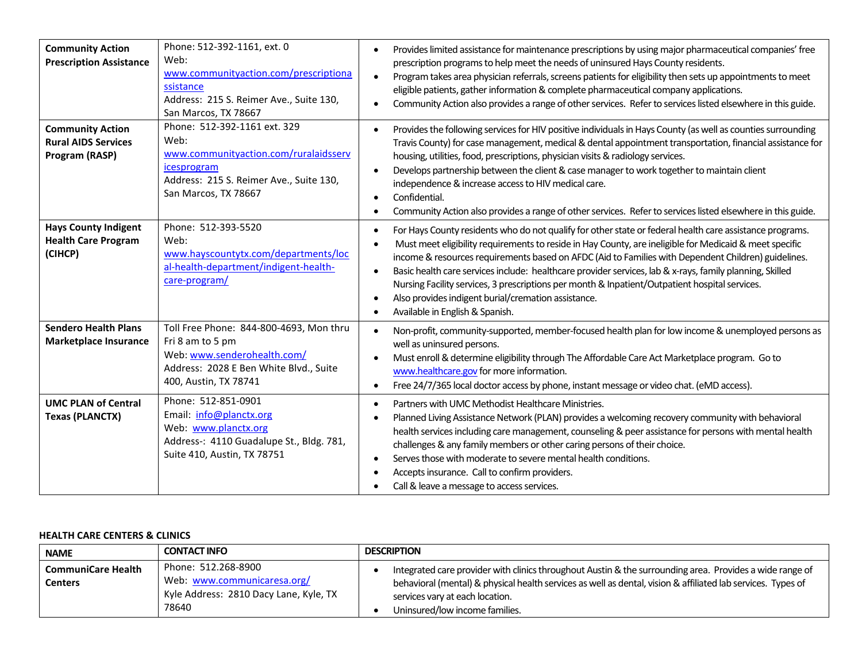| <b>Community Action</b><br><b>Prescription Assistance</b>               | Phone: 512-392-1161, ext. 0<br>Web:<br>www.communityaction.com/prescriptiona<br>ssistance<br>Address: 215 S. Reimer Ave., Suite 130,<br>San Marcos, TX 78667    | Provides limited assistance for maintenance prescriptions by using major pharmaceutical companies' free<br>prescription programs to help meet the needs of uninsured Hays County residents.<br>Program takes area physician referrals, screens patients for eligibility then sets up appointments to meet<br>$\bullet$<br>eligible patients, gather information & complete pharmaceutical company applications.<br>Community Action also provides a range of other services. Refer to services listed elsewhere in this guide.                                                                                                                                            |
|-------------------------------------------------------------------------|-----------------------------------------------------------------------------------------------------------------------------------------------------------------|---------------------------------------------------------------------------------------------------------------------------------------------------------------------------------------------------------------------------------------------------------------------------------------------------------------------------------------------------------------------------------------------------------------------------------------------------------------------------------------------------------------------------------------------------------------------------------------------------------------------------------------------------------------------------|
| <b>Community Action</b><br><b>Rural AIDS Services</b><br>Program (RASP) | Phone: 512-392-1161 ext. 329<br>Web:<br>www.communityaction.com/ruralaidsserv<br>icesprogram<br>Address: 215 S. Reimer Ave., Suite 130,<br>San Marcos, TX 78667 | Provides the following services for HIV positive individuals in Hays County (as well as counties surrounding<br>$\bullet$<br>Travis County) for case management, medical & dental appointment transportation, financial assistance for<br>housing, utilities, food, prescriptions, physician visits & radiology services.<br>Develops partnership between the client & case manager to work together to maintain client<br>$\bullet$<br>independence & increase access to HIV medical care.<br>Confidential.<br>Community Action also provides a range of other services. Refer to services listed elsewhere in this guide.                                               |
| <b>Hays County Indigent</b><br><b>Health Care Program</b><br>(CIHCP)    | Phone: 512-393-5520<br>Web:<br>www.hayscountytx.com/departments/loc<br>al-health-department/indigent-health-<br>care-program/                                   | For Hays County residents who do not qualify for other state or federal health care assistance programs.<br>$\bullet$<br>Must meet eligibility requirements to reside in Hay County, are ineligible for Medicaid & meet specific<br>income & resources requirements based on AFDC (Aid to Families with Dependent Children) guidelines.<br>Basic health care services include: healthcare provider services, lab & x-rays, family planning, Skilled<br>$\bullet$<br>Nursing Facility services, 3 prescriptions per month & Inpatient/Outpatient hospital services.<br>Also provides indigent burial/cremation assistance.<br>$\bullet$<br>Available in English & Spanish. |
| <b>Sendero Health Plans</b><br><b>Marketplace Insurance</b>             | Toll Free Phone: 844-800-4693, Mon thru<br>Fri 8 am to 5 pm<br>Web: www.senderohealth.com/<br>Address: 2028 E Ben White Blvd., Suite<br>400, Austin, TX 78741   | Non-profit, community-supported, member-focused health plan for low income & unemployed persons as<br>well as uninsured persons.<br>Must enroll & determine eligibility through The Affordable Care Act Marketplace program. Go to<br>www.healthcare.gov for more information.<br>Free 24/7/365 local doctor access by phone, instant message or video chat. (eMD access).<br>$\bullet$                                                                                                                                                                                                                                                                                   |
| <b>UMC PLAN of Central</b><br><b>Texas (PLANCTX)</b>                    | Phone: 512-851-0901<br>Email: info@planctx.org<br>Web: www.planctx.org<br>Address-: 4110 Guadalupe St., Bldg. 781,<br>Suite 410, Austin, TX 78751               | Partners with UMC Methodist Healthcare Ministries.<br>Planned Living Assistance Network (PLAN) provides a welcoming recovery community with behavioral<br>health services including care management, counseling & peer assistance for persons with mental health<br>challenges & any family members or other caring persons of their choice.<br>Serves those with moderate to severe mental health conditions.<br>Accepts insurance. Call to confirm providers.<br>Call & leave a message to access services.                                                                                                                                                             |

#### **HEALTH CARE CENTERS & CLINICS**

| <b>NAME</b>                          | <b>CONTACT INFO</b>                                                                                   | <b>DESCRIPTION</b>                                                                                                                                                                                                                                                                            |  |
|--------------------------------------|-------------------------------------------------------------------------------------------------------|-----------------------------------------------------------------------------------------------------------------------------------------------------------------------------------------------------------------------------------------------------------------------------------------------|--|
| <b>CommuniCare Health</b><br>Centers | Phone: 512.268-8900<br>Web: www.communicaresa.org/<br>Kyle Address: 2810 Dacy Lane, Kyle, TX<br>78640 | Integrated care provider with clinics throughout Austin & the surrounding area. Provides a wide range of<br>behavioral (mental) & physical health services as well as dental, vision & affiliated lab services. Types of<br>services vary at each location.<br>Uninsured/low income families. |  |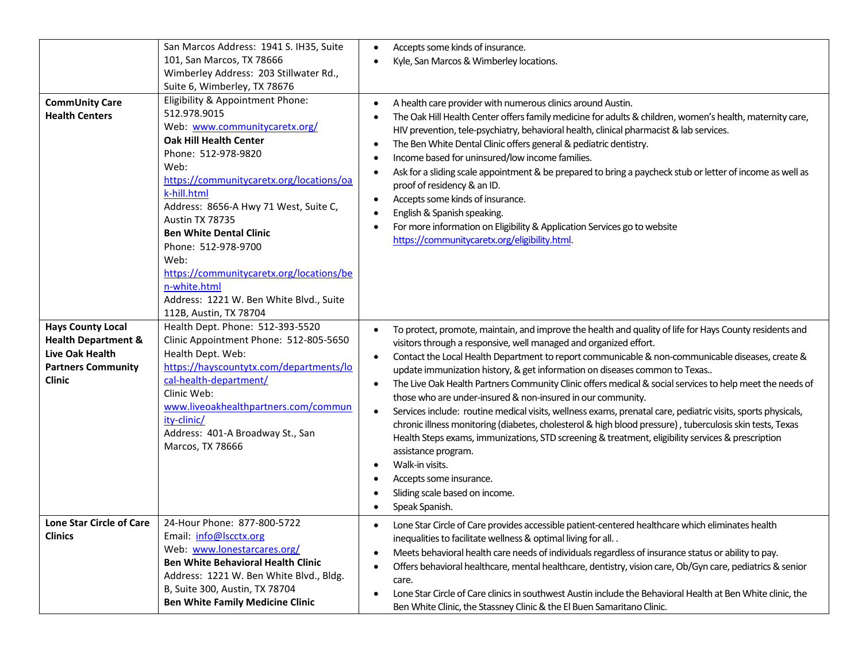|                                                                                                                             | San Marcos Address: 1941 S. IH35, Suite<br>101, San Marcos, TX 78666                                                                                                                                                                                                                                                                              | Accepts some kinds of insurance.<br>$\bullet$<br>Kyle, San Marcos & Wimberley locations.                                                                                                                                                                                                                                                                                                                                                                                                                                                                                                                                                                                                                                                                                                                                                                                                                                                                                                                                                                             |
|-----------------------------------------------------------------------------------------------------------------------------|---------------------------------------------------------------------------------------------------------------------------------------------------------------------------------------------------------------------------------------------------------------------------------------------------------------------------------------------------|----------------------------------------------------------------------------------------------------------------------------------------------------------------------------------------------------------------------------------------------------------------------------------------------------------------------------------------------------------------------------------------------------------------------------------------------------------------------------------------------------------------------------------------------------------------------------------------------------------------------------------------------------------------------------------------------------------------------------------------------------------------------------------------------------------------------------------------------------------------------------------------------------------------------------------------------------------------------------------------------------------------------------------------------------------------------|
|                                                                                                                             | Wimberley Address: 203 Stillwater Rd.,                                                                                                                                                                                                                                                                                                            |                                                                                                                                                                                                                                                                                                                                                                                                                                                                                                                                                                                                                                                                                                                                                                                                                                                                                                                                                                                                                                                                      |
|                                                                                                                             | Suite 6, Wimberley, TX 78676                                                                                                                                                                                                                                                                                                                      |                                                                                                                                                                                                                                                                                                                                                                                                                                                                                                                                                                                                                                                                                                                                                                                                                                                                                                                                                                                                                                                                      |
| <b>CommUnity Care</b><br><b>Health Centers</b>                                                                              | Eligibility & Appointment Phone:<br>512.978.9015                                                                                                                                                                                                                                                                                                  | A health care provider with numerous clinics around Austin.<br>The Oak Hill Health Center offers family medicine for adults & children, women's health, maternity care,                                                                                                                                                                                                                                                                                                                                                                                                                                                                                                                                                                                                                                                                                                                                                                                                                                                                                              |
|                                                                                                                             | Web: www.communitycaretx.org/<br><b>Oak Hill Health Center</b><br>Phone: 512-978-9820<br>Web:<br>https://communitycaretx.org/locations/oa<br>k-hill.html<br>Address: 8656-A Hwy 71 West, Suite C,<br>Austin TX 78735<br><b>Ben White Dental Clinic</b><br>Phone: 512-978-9700<br>Web:<br>https://communitycaretx.org/locations/be<br>n-white.html | HIV prevention, tele-psychiatry, behavioral health, clinical pharmacist & lab services.<br>The Ben White Dental Clinic offers general & pediatric dentistry.<br>$\bullet$<br>Income based for uninsured/low income families.<br>$\bullet$<br>Ask for a sliding scale appointment & be prepared to bring a paycheck stub or letter of income as well as<br>proof of residency & an ID.<br>Accepts some kinds of insurance.<br>$\bullet$<br>English & Spanish speaking.<br>For more information on Eligibility & Application Services go to website<br>https://communitycaretx.org/eligibility.html.                                                                                                                                                                                                                                                                                                                                                                                                                                                                   |
|                                                                                                                             | Address: 1221 W. Ben White Blvd., Suite<br>112B, Austin, TX 78704                                                                                                                                                                                                                                                                                 |                                                                                                                                                                                                                                                                                                                                                                                                                                                                                                                                                                                                                                                                                                                                                                                                                                                                                                                                                                                                                                                                      |
| <b>Hays County Local</b><br><b>Health Department &amp;</b><br>Live Oak Health<br><b>Partners Community</b><br><b>Clinic</b> | Health Dept. Phone: 512-393-5520<br>Clinic Appointment Phone: 512-805-5650<br>Health Dept. Web:<br>https://hayscountytx.com/departments/lo<br>cal-health-department/<br>Clinic Web:<br>www.liveoakhealthpartners.com/commun<br>ity-clinic/<br>Address: 401-A Broadway St., San<br>Marcos, TX 78666                                                | To protect, promote, maintain, and improve the health and quality of life for Hays County residents and<br>$\bullet$<br>visitors through a responsive, well managed and organized effort.<br>Contact the Local Health Department to report communicable & non-communicable diseases, create &<br>$\bullet$<br>update immunization history, & get information on diseases common to Texas<br>The Live Oak Health Partners Community Clinic offers medical & social services to help meet the needs of<br>$\bullet$<br>those who are under-insured & non-insured in our community.<br>Services include: routine medical visits, wellness exams, prenatal care, pediatric visits, sports physicals,<br>$\bullet$<br>chronic illness monitoring (diabetes, cholesterol & high blood pressure), tuberculosis skin tests, Texas<br>Health Steps exams, immunizations, STD screening & treatment, eligibility services & prescription<br>assistance program.<br>Walk-in visits.<br>$\bullet$<br>Accepts some insurance.<br>Sliding scale based on income.<br>Speak Spanish. |
| Lone Star Circle of Care<br><b>Clinics</b>                                                                                  | 24-Hour Phone: 877-800-5722<br>Email: info@lscctx.org<br>Web: www.lonestarcares.org/<br><b>Ben White Behavioral Health Clinic</b><br>Address: 1221 W. Ben White Blvd., Bldg.<br>B, Suite 300, Austin, TX 78704<br><b>Ben White Family Medicine Clinic</b>                                                                                         | Lone Star Circle of Care provides accessible patient-centered healthcare which eliminates health<br>inequalities to facilitate wellness & optimal living for all<br>Meets behavioral health care needs of individuals regardless of insurance status or ability to pay.<br>٠<br>Offers behavioral healthcare, mental healthcare, dentistry, vision care, Ob/Gyn care, pediatrics & senior<br>$\bullet$<br>care.<br>Lone Star Circle of Care clinics in southwest Austin include the Behavioral Health at Ben White clinic, the<br>٠<br>Ben White Clinic, the Stassney Clinic & the El Buen Samaritano Clinic.                                                                                                                                                                                                                                                                                                                                                                                                                                                        |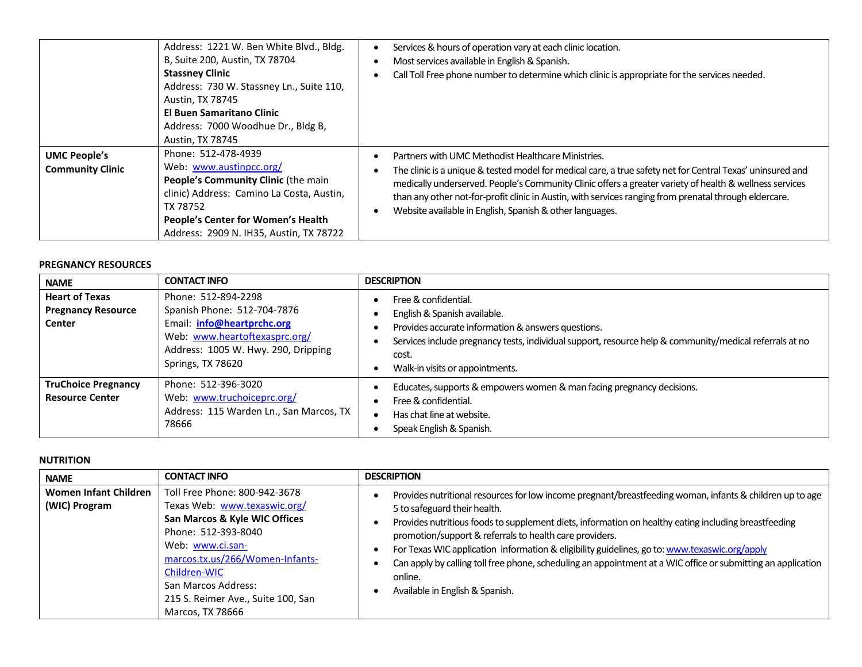|                                                | Address: 1221 W. Ben White Blvd., Bldg.<br>B, Suite 200, Austin, TX 78704<br><b>Stassney Clinic</b><br>Address: 730 W. Stassney Ln., Suite 110,<br>Austin, TX 78745<br><b>El Buen Samaritano Clinic</b><br>Address: 7000 Woodhue Dr., Bldg B,<br>Austin, TX 78745 | Services & hours of operation vary at each clinic location.<br>Most services available in English & Spanish.<br>Call Toll Free phone number to determine which clinic is appropriate for the services needed.                                                                                                                                                                                                                                     |
|------------------------------------------------|-------------------------------------------------------------------------------------------------------------------------------------------------------------------------------------------------------------------------------------------------------------------|---------------------------------------------------------------------------------------------------------------------------------------------------------------------------------------------------------------------------------------------------------------------------------------------------------------------------------------------------------------------------------------------------------------------------------------------------|
| <b>UMC People's</b><br><b>Community Clinic</b> | Phone: 512-478-4939<br>Web: www.austinpcc.org/<br>People's Community Clinic (the main<br>clinic) Address: Camino La Costa, Austin,<br>TX 78752<br>People's Center for Women's Health<br>Address: 2909 N. IH35, Austin, TX 78722                                   | Partners with UMC Methodist Healthcare Ministries.<br>The clinic is a unique & tested model for medical care, a true safety net for Central Texas' uninsured and<br>medically underserved. People's Community Clinic offers a greater variety of health & wellness services<br>than any other not-for-profit clinic in Austin, with services ranging from prenatal through eldercare.<br>Website available in English, Spanish & other languages. |

#### **PREGNANCY RESOURCES**

| <b>NAME</b>                                                  | <b>CONTACT INFO</b>                                                                                                                                                                  | <b>DESCRIPTION</b>                                                                                                                                                                                                                                                |
|--------------------------------------------------------------|--------------------------------------------------------------------------------------------------------------------------------------------------------------------------------------|-------------------------------------------------------------------------------------------------------------------------------------------------------------------------------------------------------------------------------------------------------------------|
| <b>Heart of Texas</b><br><b>Pregnancy Resource</b><br>Center | Phone: 512-894-2298<br>Spanish Phone: 512-704-7876<br>Email: <i>info@heartprchc.org</i><br>Web: www.heartoftexasprc.org/<br>Address: 1005 W. Hwy. 290, Dripping<br>Springs, TX 78620 | Free & confidential.<br>English & Spanish available.<br>Provides accurate information & answers questions.<br>Services include pregnancy tests, individual support, resource help & community/medical referrals at no<br>cost.<br>Walk-in visits or appointments. |
| <b>TruChoice Pregnancy</b><br><b>Resource Center</b>         | Phone: 512-396-3020<br>Web: www.truchoiceprc.org/<br>Address: 115 Warden Ln., San Marcos, TX<br>78666                                                                                | Educates, supports & empowers women & man facing pregnancy decisions.<br>Free & confidential.<br>Has chat line at website.<br>Speak English & Spanish.                                                                                                            |

## **NUTRITION**

| <b>NAME</b>                            | <b>CONTACT INFO</b>                                                                                                                                                                                                                                                           | <b>DESCRIPTION</b>                                                                                                                                                                                                                                                                                                                                                                                                                                                                                                                                                         |
|----------------------------------------|-------------------------------------------------------------------------------------------------------------------------------------------------------------------------------------------------------------------------------------------------------------------------------|----------------------------------------------------------------------------------------------------------------------------------------------------------------------------------------------------------------------------------------------------------------------------------------------------------------------------------------------------------------------------------------------------------------------------------------------------------------------------------------------------------------------------------------------------------------------------|
| Women Infant Children<br>(WIC) Program | Toll Free Phone: 800-942-3678<br>Texas Web: www.texaswic.org/<br>San Marcos & Kyle WIC Offices<br>Phone: 512-393-8040<br>Web: www.ci.san-<br>marcos.tx.us/266/Women-Infants-<br>Children-WIC<br>San Marcos Address:<br>215 S. Reimer Ave., Suite 100, San<br>Marcos, TX 78666 | Provides nutritional resources for low income pregnant/breastfeeding woman, infants & children up to age<br>5 to safeguard their health.<br>Provides nutritious foods to supplement diets, information on healthy eating including breastfeeding<br>promotion/support & referrals to health care providers.<br>For Texas WIC application information & eligibility guidelines, go to: www.texaswic.org/apply<br>Can apply by calling toll free phone, scheduling an appointment at a WIC office or submitting an application<br>online.<br>Available in English & Spanish. |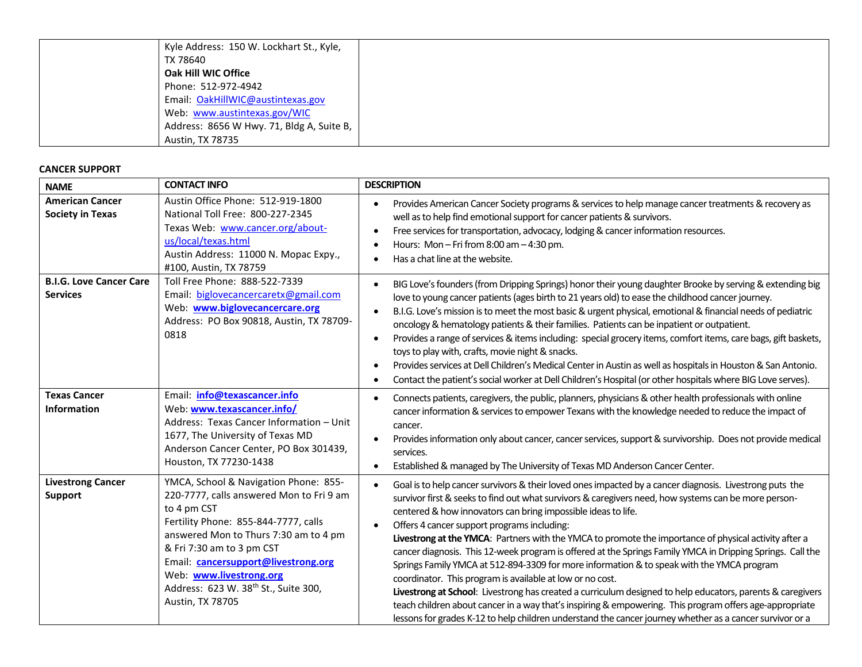| Kyle Address: 150 W. Lockhart St., Kyle,  |
|-------------------------------------------|
| TX 78640                                  |
| Oak Hill WIC Office                       |
| Phone: 512-972-4942                       |
| Email: OakHillWIC@austintexas.gov         |
| Web: www.austintexas.gov/WIC              |
| Address: 8656 W Hwy. 71, Bldg A, Suite B, |
| <b>Austin, TX 78735</b>                   |

#### **CANCER SUPPORT**

| <b>NAME</b>                                       | <b>CONTACT INFO</b>                                                                                                                                                                                                                                                                                                                          | <b>DESCRIPTION</b>                                                                                                                                                                                                                                                                                                                                                                                                                                                                                                                                                                                                                                                                                                                                                                                                                                                                                                                                                                                                                                                 |
|---------------------------------------------------|----------------------------------------------------------------------------------------------------------------------------------------------------------------------------------------------------------------------------------------------------------------------------------------------------------------------------------------------|--------------------------------------------------------------------------------------------------------------------------------------------------------------------------------------------------------------------------------------------------------------------------------------------------------------------------------------------------------------------------------------------------------------------------------------------------------------------------------------------------------------------------------------------------------------------------------------------------------------------------------------------------------------------------------------------------------------------------------------------------------------------------------------------------------------------------------------------------------------------------------------------------------------------------------------------------------------------------------------------------------------------------------------------------------------------|
| <b>American Cancer</b><br><b>Society in Texas</b> | Austin Office Phone: 512-919-1800<br>National Toll Free: 800-227-2345<br>Texas Web: www.cancer.org/about-<br>us/local/texas.html<br>Austin Address: 11000 N. Mopac Expy.,<br>#100, Austin, TX 78759                                                                                                                                          | Provides American Cancer Society programs & services to help manage cancer treatments & recovery as<br>well as to help find emotional support for cancer patients & survivors.<br>Free services for transportation, advocacy, lodging & cancer information resources.<br>Hours: Mon - Fri from $8:00$ am $-4:30$ pm.<br>Has a chat line at the website.                                                                                                                                                                                                                                                                                                                                                                                                                                                                                                                                                                                                                                                                                                            |
| <b>B.I.G. Love Cancer Care</b><br><b>Services</b> | Toll Free Phone: 888-522-7339<br>Email: biglovecancercaretx@gmail.com<br>Web: www.biglovecancercare.org<br>Address: PO Box 90818, Austin, TX 78709-<br>0818                                                                                                                                                                                  | BIG Love's founders (from Dripping Springs) honor their young daughter Brooke by serving & extending big<br>$\bullet$<br>love to young cancer patients (ages birth to 21 years old) to ease the childhood cancer journey.<br>B.I.G. Love's mission is to meet the most basic & urgent physical, emotional & financial needs of pediatric<br>oncology & hematology patients & their families. Patients can be inpatient or outpatient.<br>Provides a range of services & items including: special grocery items, comfort items, care bags, gift baskets,<br>toys to play with, crafts, movie night & snacks.<br>Provides services at Dell Children's Medical Center in Austin as well as hospitals in Houston & San Antonio.<br>Contact the patient's social worker at Dell Children's Hospital (or other hospitals where BIG Love serves).<br>$\bullet$                                                                                                                                                                                                            |
| <b>Texas Cancer</b><br><b>Information</b>         | Email: info@texascancer.info<br>Web: www.texascancer.info/<br>Address: Texas Cancer Information - Unit<br>1677, The University of Texas MD<br>Anderson Cancer Center, PO Box 301439,<br>Houston, TX 77230-1438                                                                                                                               | Connects patients, caregivers, the public, planners, physicians & other health professionals with online<br>cancer information & services to empower Texans with the knowledge needed to reduce the impact of<br>cancer.<br>Provides information only about cancer, cancer services, support & survivorship. Does not provide medical<br>$\bullet$<br>services.<br>Established & managed by The University of Texas MD Anderson Cancer Center.<br>$\bullet$                                                                                                                                                                                                                                                                                                                                                                                                                                                                                                                                                                                                        |
| <b>Livestrong Cancer</b><br><b>Support</b>        | YMCA, School & Navigation Phone: 855-<br>220-7777, calls answered Mon to Fri 9 am<br>to 4 pm CST<br>Fertility Phone: 855-844-7777, calls<br>answered Mon to Thurs 7:30 am to 4 pm<br>& Fri 7:30 am to 3 pm CST<br>Email: cancersupport@livestrong.org<br>Web: www.livestrong.org<br>Address: 623 W. 38th St., Suite 300,<br>Austin, TX 78705 | Goal is to help cancer survivors & their loved ones impacted by a cancer diagnosis. Livestrong puts the<br>$\bullet$<br>survivor first & seeks to find out what survivors & caregivers need, how systems can be more person-<br>centered & how innovators can bring impossible ideas to life.<br>Offers 4 cancer support programs including:<br>Livestrong at the YMCA: Partners with the YMCA to promote the importance of physical activity after a<br>cancer diagnosis. This 12-week program is offered at the Springs Family YMCA in Dripping Springs. Call the<br>Springs Family YMCA at 512-894-3309 for more information & to speak with the YMCA program<br>coordinator. This program is available at low or no cost.<br>Livestrong at School: Livestrong has created a curriculum designed to help educators, parents & caregivers<br>teach children about cancer in a way that's inspiring & empowering. This program offers age-appropriate<br>lessons for grades K-12 to help children understand the cancer journey whether as a cancer survivor or a |